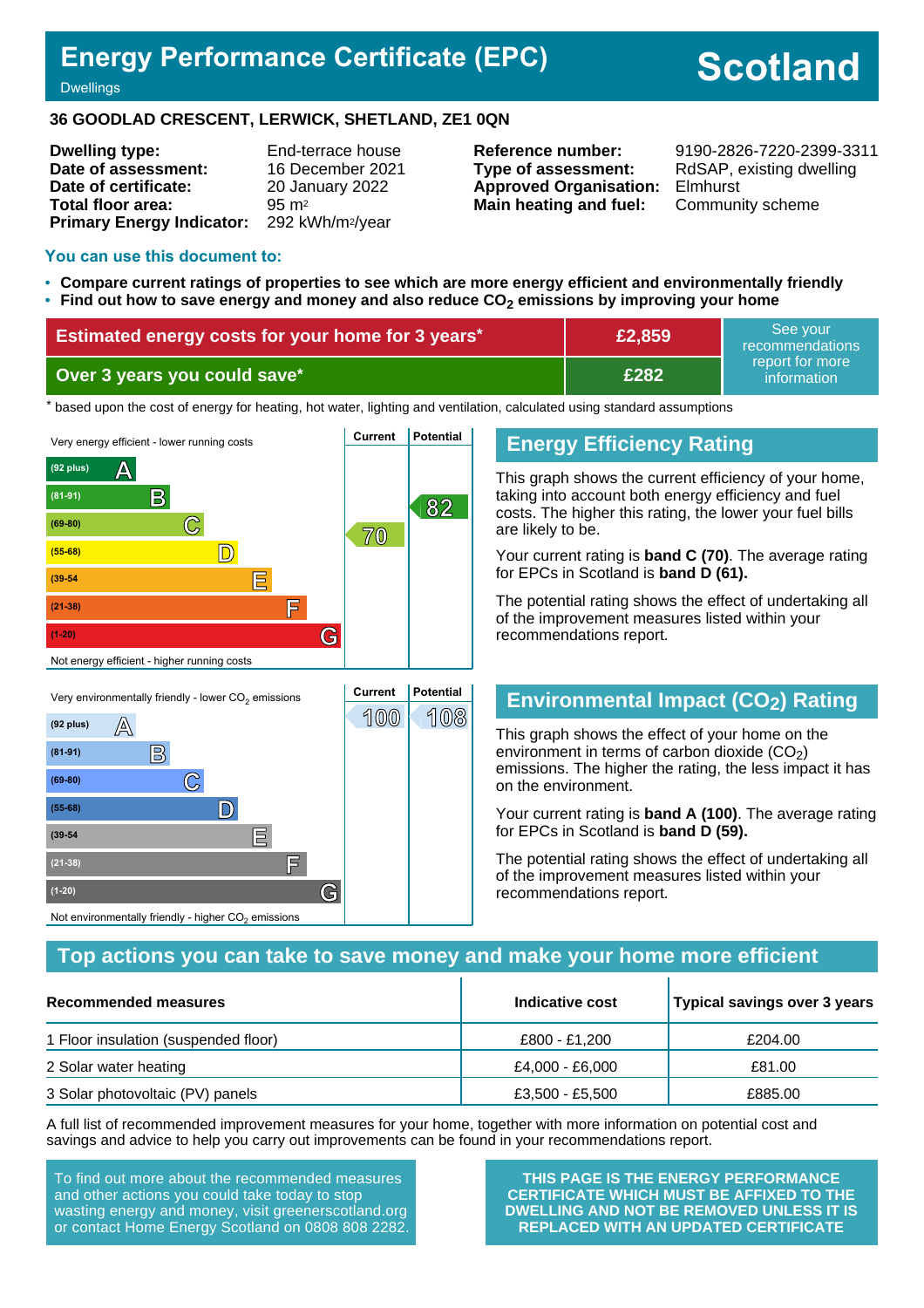# **Energy Performance Certificate (EPC)**

# **Scotland**

Dwellings

#### **36 GOODLAD CRESCENT, LERWICK, SHETLAND, ZE1 0QN**

**Dwelling type:** End-terrace house **Date of assessment:** 16 December 2021 **Date of certificate:** 20 January 2022 **Total floor area:** 95 m<sup>2</sup> **Primary Energy Indicator:** 292 kWh/m2/year

**Type of assessment:** RdSAP, existing dwelling **Approved Organisation:** Elmhurst **Main heating and fuel:** Community scheme

**Reference number:** 9190-2826-7220-2399-3311

#### **You can use this document to:**

- **Compare current ratings of properties to see which are more energy efficient and environmentally friendly**
- **Find out how to save energy and money and also reduce CO2 emissions by improving your home**

| <b>Estimated energy costs for your home for 3 years*</b> | £2,859 | See vour<br>recommendations    |  |
|----------------------------------------------------------|--------|--------------------------------|--|
| Over 3 years you could save*                             | £282   | report for more<br>information |  |

the based upon the cost of energy for heating, hot water, lighting and ventilation, calculated using standard assumptions



#### **Energy Efficiency Rating**

This graph shows the current efficiency of your home, taking into account both energy efficiency and fuel costs. The higher this rating, the lower your fuel bills are likely to be.

Your current rating is **band C (70)**. The average rating for EPCs in Scotland is **band D (61).**

The potential rating shows the effect of undertaking all of the improvement measures listed within your recommendations report.

# **Environmental Impact (CO2) Rating**

This graph shows the effect of your home on the environment in terms of carbon dioxide  $(CO<sub>2</sub>)$ emissions. The higher the rating, the less impact it has on the environment.

Your current rating is **band A (100)**. The average rating for EPCs in Scotland is **band D (59).**

The potential rating shows the effect of undertaking all of the improvement measures listed within your recommendations report.

#### **Top actions you can take to save money and make your home more efficient**

| Recommended measures                 | Indicative cost | Typical savings over 3 years |
|--------------------------------------|-----------------|------------------------------|
| 1 Floor insulation (suspended floor) | £800 - £1.200   | £204.00                      |
| 2 Solar water heating                | £4.000 - £6.000 | £81.00                       |
| 3 Solar photovoltaic (PV) panels     | £3,500 - £5,500 | £885.00                      |

A full list of recommended improvement measures for your home, together with more information on potential cost and savings and advice to help you carry out improvements can be found in your recommendations report.

To find out more about the recommended measures and other actions you could take today to stop wasting energy and money, visit greenerscotland.org or contact Home Energy Scotland on 0808 808 2282.

Not environmentally friendly - higher  $\mathrm{CO}_2$  emissions

**THIS PAGE IS THE ENERGY PERFORMANCE CERTIFICATE WHICH MUST BE AFFIXED TO THE DWELLING AND NOT BE REMOVED UNLESS IT IS REPLACED WITH AN UPDATED CERTIFICATE**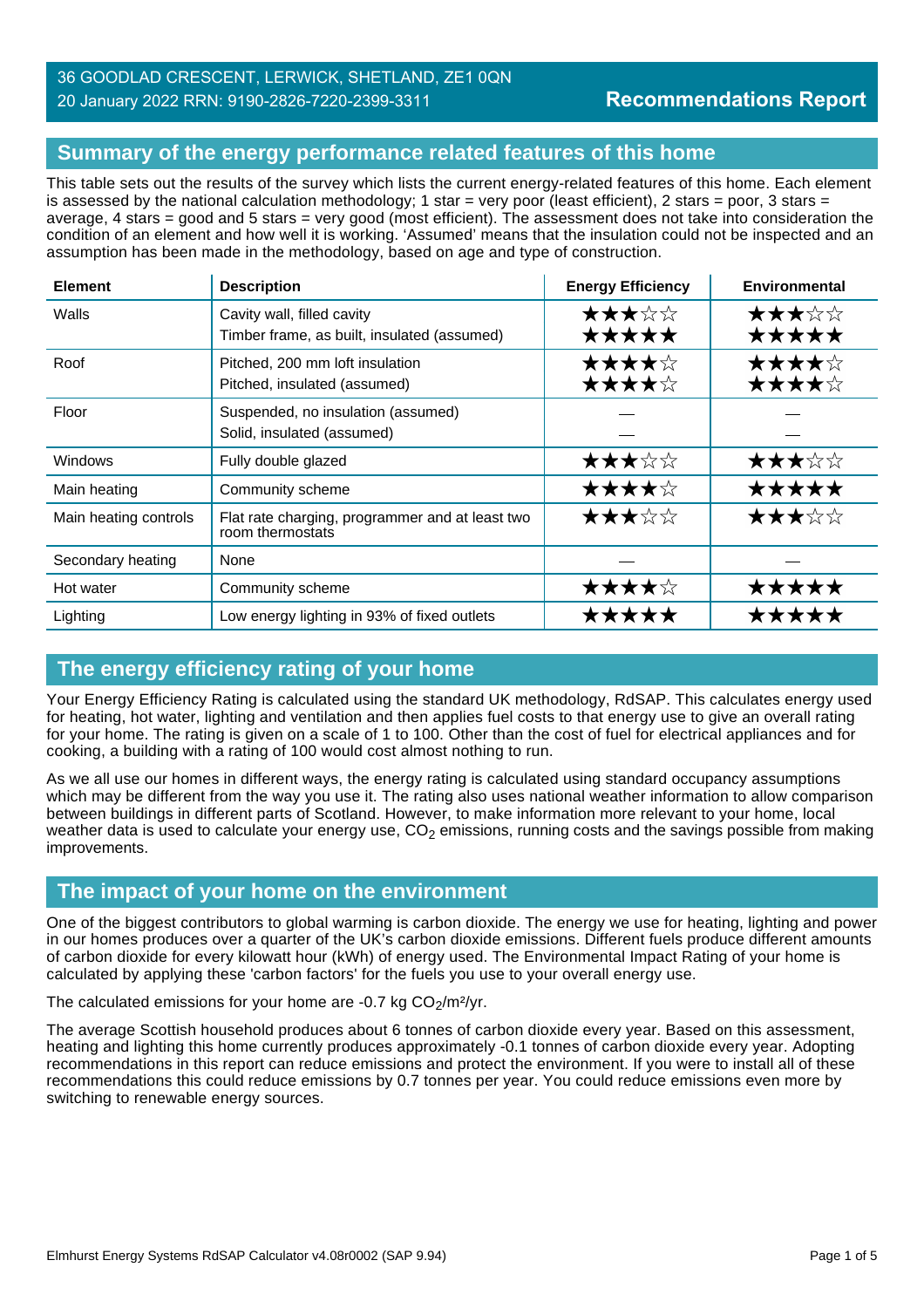#### 36 GOODLAD CRESCENT, LERWICK, SHETLAND, ZE1 0QN 20 January 2022 RRN: 9190-2826-7220-2399-3311

# **Summary of the energy performance related features of this home**

This table sets out the results of the survey which lists the current energy-related features of this home. Each element is assessed by the national calculation methodology; 1 star = very poor (least efficient), 2 stars = poor, 3 stars = average, 4 stars = good and 5 stars = very good (most efficient). The assessment does not take into consideration the condition of an element and how well it is working. 'Assumed' means that the insulation could not be inspected and an assumption has been made in the methodology, based on age and type of construction.

| <b>Element</b>        | <b>Description</b>                                                        | <b>Energy Efficiency</b> | <b>Environmental</b> |
|-----------------------|---------------------------------------------------------------------------|--------------------------|----------------------|
| Walls                 | Cavity wall, filled cavity<br>Timber frame, as built, insulated (assumed) | ★★★☆☆<br>★★★★★           | ★★★☆☆<br>★★★★★       |
| Roof                  | Pitched, 200 mm loft insulation<br>Pitched, insulated (assumed)           | ★★★★☆<br>★★★★☆           | ★★★★☆<br>★★★★☆       |
| Floor                 | Suspended, no insulation (assumed)<br>Solid, insulated (assumed)          |                          |                      |
| <b>Windows</b>        | Fully double glazed                                                       | ★★★☆☆                    | ★★★☆☆                |
| Main heating          | Community scheme                                                          | ★★★★☆                    | *****                |
| Main heating controls | Flat rate charging, programmer and at least two<br>room thermostats       | ★★★☆☆                    | ★★★☆☆                |
| Secondary heating     | None                                                                      |                          |                      |
| Hot water             | Community scheme                                                          | ★★★★☆                    | *****                |
| Lighting              | Low energy lighting in 93% of fixed outlets                               | *****                    | *****                |

# **The energy efficiency rating of your home**

Your Energy Efficiency Rating is calculated using the standard UK methodology, RdSAP. This calculates energy used for heating, hot water, lighting and ventilation and then applies fuel costs to that energy use to give an overall rating for your home. The rating is given on a scale of 1 to 100. Other than the cost of fuel for electrical appliances and for cooking, a building with a rating of 100 would cost almost nothing to run.

As we all use our homes in different ways, the energy rating is calculated using standard occupancy assumptions which may be different from the way you use it. The rating also uses national weather information to allow comparison between buildings in different parts of Scotland. However, to make information more relevant to your home, local weather data is used to calculate your energy use,  $CO<sub>2</sub>$  emissions, running costs and the savings possible from making improvements.

# **The impact of your home on the environment**

One of the biggest contributors to global warming is carbon dioxide. The energy we use for heating, lighting and power in our homes produces over a quarter of the UK's carbon dioxide emissions. Different fuels produce different amounts of carbon dioxide for every kilowatt hour (kWh) of energy used. The Environmental Impact Rating of your home is calculated by applying these 'carbon factors' for the fuels you use to your overall energy use.

The calculated emissions for your home are  $-0.7$  kg  $CO<sub>2</sub>/m<sup>2</sup>/yr$ .

The average Scottish household produces about 6 tonnes of carbon dioxide every year. Based on this assessment, heating and lighting this home currently produces approximately -0.1 tonnes of carbon dioxide every year. Adopting recommendations in this report can reduce emissions and protect the environment. If you were to install all of these recommendations this could reduce emissions by 0.7 tonnes per year. You could reduce emissions even more by switching to renewable energy sources.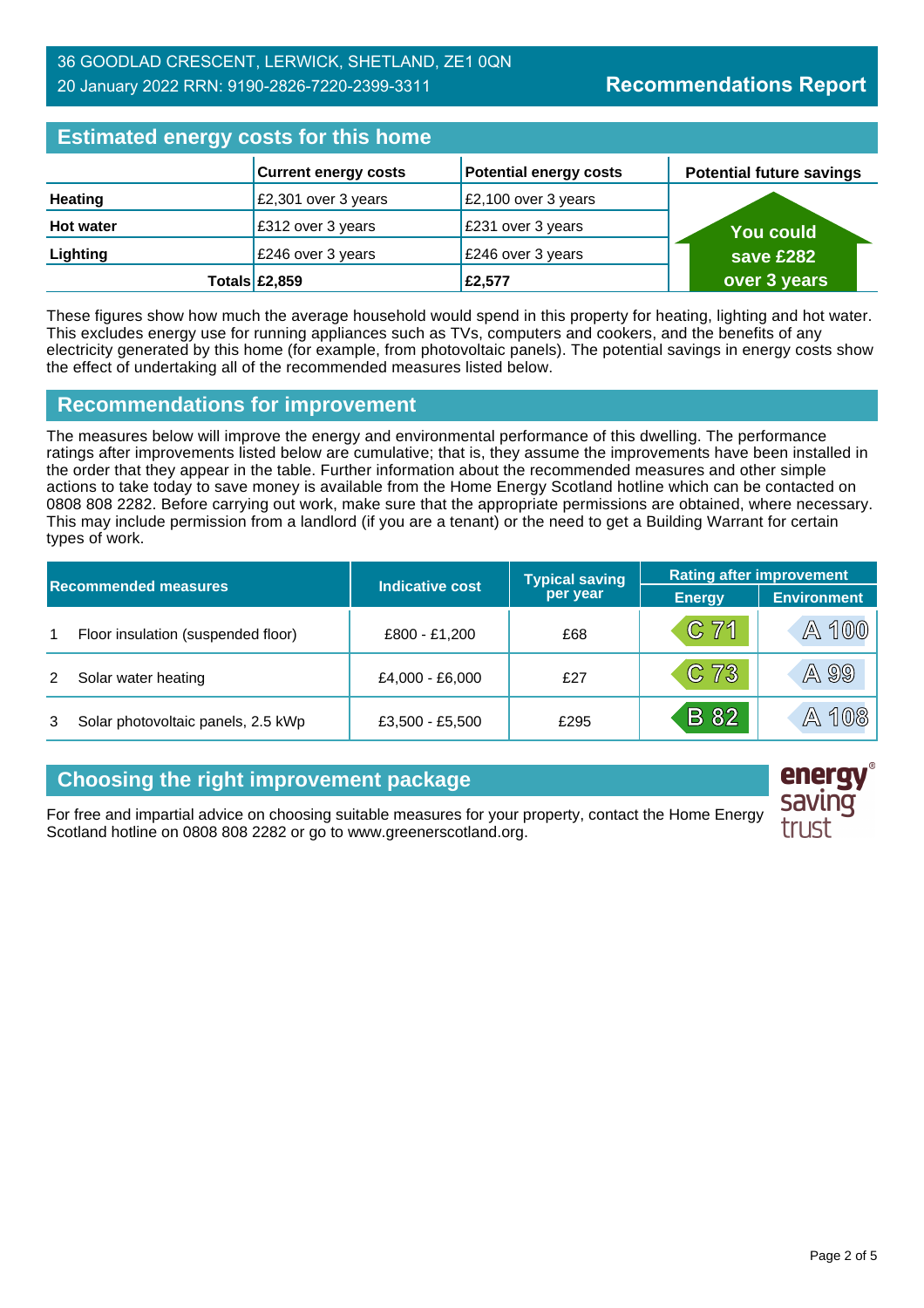| <b>Estimated energy costs for this home</b> |                              |                               |  |                                 |
|---------------------------------------------|------------------------------|-------------------------------|--|---------------------------------|
|                                             | <b>Current energy costs</b>  | <b>Potential energy costs</b> |  | <b>Potential future savings</b> |
| <b>Heating</b>                              | £2,301 over 3 years          | £2,100 over 3 years           |  |                                 |
| <b>Hot water</b>                            | £312 over 3 years            | £231 over 3 years             |  | <b>You could</b>                |
| Lighting                                    | £246 over 3 years            | £246 over 3 years             |  | save £282                       |
|                                             | Totals $\text{\pounds}2,859$ | £2,577                        |  | over 3 years                    |

These figures show how much the average household would spend in this property for heating, lighting and hot water. This excludes energy use for running appliances such as TVs, computers and cookers, and the benefits of any electricity generated by this home (for example, from photovoltaic panels). The potential savings in energy costs show the effect of undertaking all of the recommended measures listed below.

#### **Recommendations for improvement**

The measures below will improve the energy and environmental performance of this dwelling. The performance ratings after improvements listed below are cumulative; that is, they assume the improvements have been installed in the order that they appear in the table. Further information about the recommended measures and other simple actions to take today to save money is available from the Home Energy Scotland hotline which can be contacted on 0808 808 2282. Before carrying out work, make sure that the appropriate permissions are obtained, where necessary. This may include permission from a landlord (if you are a tenant) or the need to get a Building Warrant for certain types of work.

| <b>Recommended measures</b> |                                    |                        | <b>Typical saving</b> | <b>Rating after improvement</b> |                    |  |
|-----------------------------|------------------------------------|------------------------|-----------------------|---------------------------------|--------------------|--|
|                             |                                    | <b>Indicative cost</b> | per year              | <b>Energy</b>                   | <b>Environment</b> |  |
|                             | Floor insulation (suspended floor) | £800 - £1,200          | £68                   | $C$ 71                          | A 100              |  |
|                             | Solar water heating                | £4,000 - £6,000        | f27                   | $C$ 73                          | A 99               |  |
|                             | Solar photovoltaic panels, 2.5 kWp | £3,500 - £5,500        | £295                  | <b>B</b> 82                     | A 108              |  |

# **Choosing the right improvement package**

For free and impartial advice on choosing suitable measures for your property, contact the Home Energy Scotland hotline on 0808 808 2282 or go to www.greenerscotland.org.

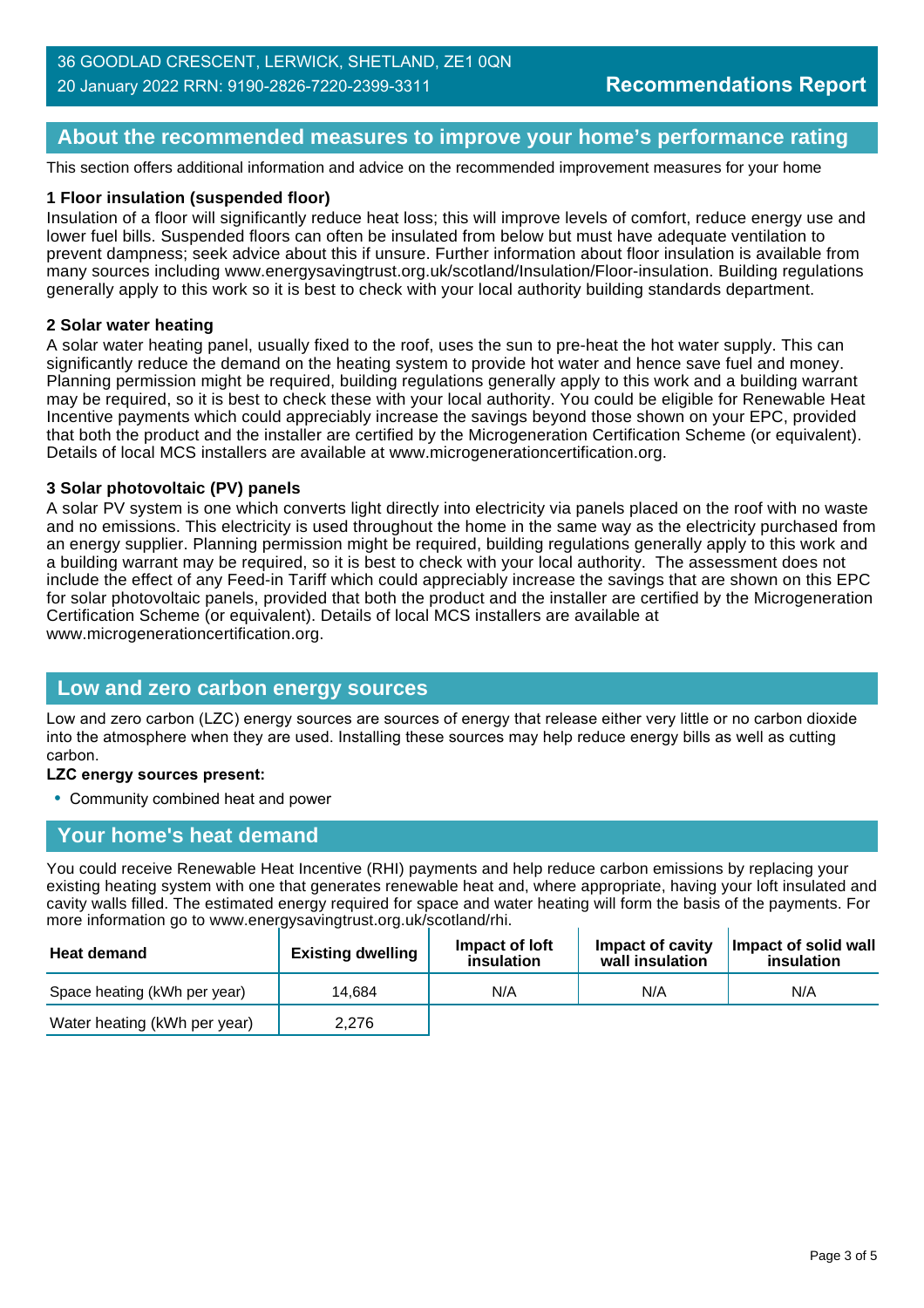# **About the recommended measures to improve your home's performance rating**

This section offers additional information and advice on the recommended improvement measures for your home

#### **1 Floor insulation (suspended floor)**

Insulation of a floor will significantly reduce heat loss; this will improve levels of comfort, reduce energy use and lower fuel bills. Suspended floors can often be insulated from below but must have adequate ventilation to prevent dampness; seek advice about this if unsure. Further information about floor insulation is available from many sources including www.energysavingtrust.org.uk/scotland/Insulation/Floor-insulation. Building regulations generally apply to this work so it is best to check with your local authority building standards department.

#### **2 Solar water heating**

A solar water heating panel, usually fixed to the roof, uses the sun to pre-heat the hot water supply. This can significantly reduce the demand on the heating system to provide hot water and hence save fuel and money. Planning permission might be required, building regulations generally apply to this work and a building warrant may be required, so it is best to check these with your local authority. You could be eligible for Renewable Heat Incentive payments which could appreciably increase the savings beyond those shown on your EPC, provided that both the product and the installer are certified by the Microgeneration Certification Scheme (or equivalent). Details of local MCS installers are available at www.microgenerationcertification.org.

#### **3 Solar photovoltaic (PV) panels**

A solar PV system is one which converts light directly into electricity via panels placed on the roof with no waste and no emissions. This electricity is used throughout the home in the same way as the electricity purchased from an energy supplier. Planning permission might be required, building regulations generally apply to this work and a building warrant may be required, so it is best to check with your local authority. The assessment does not include the effect of any Feed-in Tariff which could appreciably increase the savings that are shown on this EPC for solar photovoltaic panels, provided that both the product and the installer are certified by the Microgeneration Certification Scheme (or equivalent). Details of local MCS installers are available at www.microgenerationcertification.org.

#### **Low and zero carbon energy sources**

Low and zero carbon (LZC) energy sources are sources of energy that release either very little or no carbon dioxide into the atmosphere when they are used. Installing these sources may help reduce energy bills as well as cutting carbon.

#### **LZC energy sources present:**

• Community combined heat and power

# **Your home's heat demand**

You could receive Renewable Heat Incentive (RHI) payments and help reduce carbon emissions by replacing your existing heating system with one that generates renewable heat and, where appropriate, having your loft insulated and cavity walls filled. The estimated energy required for space and water heating will form the basis of the payments. For more information go to www.energysavingtrust.org.uk/scotland/rhi.

| <b>Heat demand</b>           | <b>Existing dwelling</b> | Impact of loft<br>insulation | Impact of cavity<br>wall insulation | Impact of solid wall<br>insulation |
|------------------------------|--------------------------|------------------------------|-------------------------------------|------------------------------------|
| Space heating (kWh per year) | 14.684                   | N/A                          | N/A                                 | N/A                                |
| Water heating (kWh per year) | 2.276                    |                              |                                     |                                    |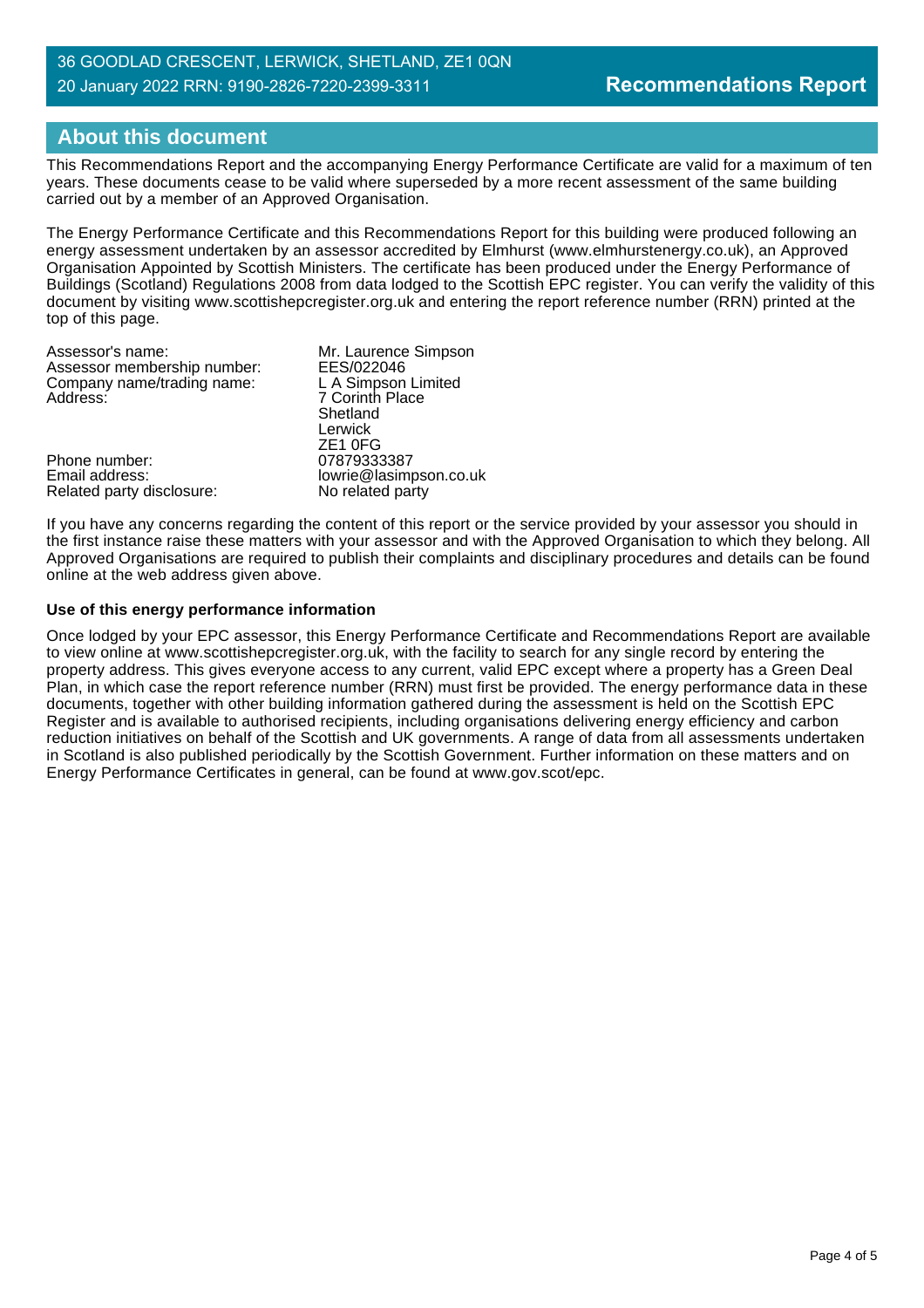#### 36 GOODLAD CRESCENT, LERWICK, SHETLAND, ZE1 0QN 20 January 2022 RRN: 9190-2826-7220-2399-3311

# **About this document**

This Recommendations Report and the accompanying Energy Performance Certificate are valid for a maximum of ten years. These documents cease to be valid where superseded by a more recent assessment of the same building carried out by a member of an Approved Organisation.

The Energy Performance Certificate and this Recommendations Report for this building were produced following an energy assessment undertaken by an assessor accredited by Elmhurst (www.elmhurstenergy.co.uk), an Approved Organisation Appointed by Scottish Ministers. The certificate has been produced under the Energy Performance of Buildings (Scotland) Regulations 2008 from data lodged to the Scottish EPC register. You can verify the validity of this document by visiting www.scottishepcregister.org.uk and entering the report reference number (RRN) printed at the top of this page.

| Assessor's name:            | Mr. Laurence Simpson   |
|-----------------------------|------------------------|
| Assessor membership number: | EES/022046             |
| Company name/trading name:  | L A Simpson Limited    |
| Address:                    | 7 Corinth Place        |
|                             | Shetland               |
|                             | Lerwick                |
|                             | ZE <sub>1</sub> OFG    |
| Phone number:               | 07879333387            |
| Email address:              | lowrie@lasimpson.co.uk |
| Related party disclosure:   | No related party       |

If you have any concerns regarding the content of this report or the service provided by your assessor you should in the first instance raise these matters with your assessor and with the Approved Organisation to which they belong. All Approved Organisations are required to publish their complaints and disciplinary procedures and details can be found online at the web address given above.

#### **Use of this energy performance information**

Once lodged by your EPC assessor, this Energy Performance Certificate and Recommendations Report are available to view online at www.scottishepcregister.org.uk, with the facility to search for any single record by entering the property address. This gives everyone access to any current, valid EPC except where a property has a Green Deal Plan, in which case the report reference number (RRN) must first be provided. The energy performance data in these documents, together with other building information gathered during the assessment is held on the Scottish EPC Register and is available to authorised recipients, including organisations delivering energy efficiency and carbon reduction initiatives on behalf of the Scottish and UK governments. A range of data from all assessments undertaken in Scotland is also published periodically by the Scottish Government. Further information on these matters and on Energy Performance Certificates in general, can be found at www.gov.scot/epc.